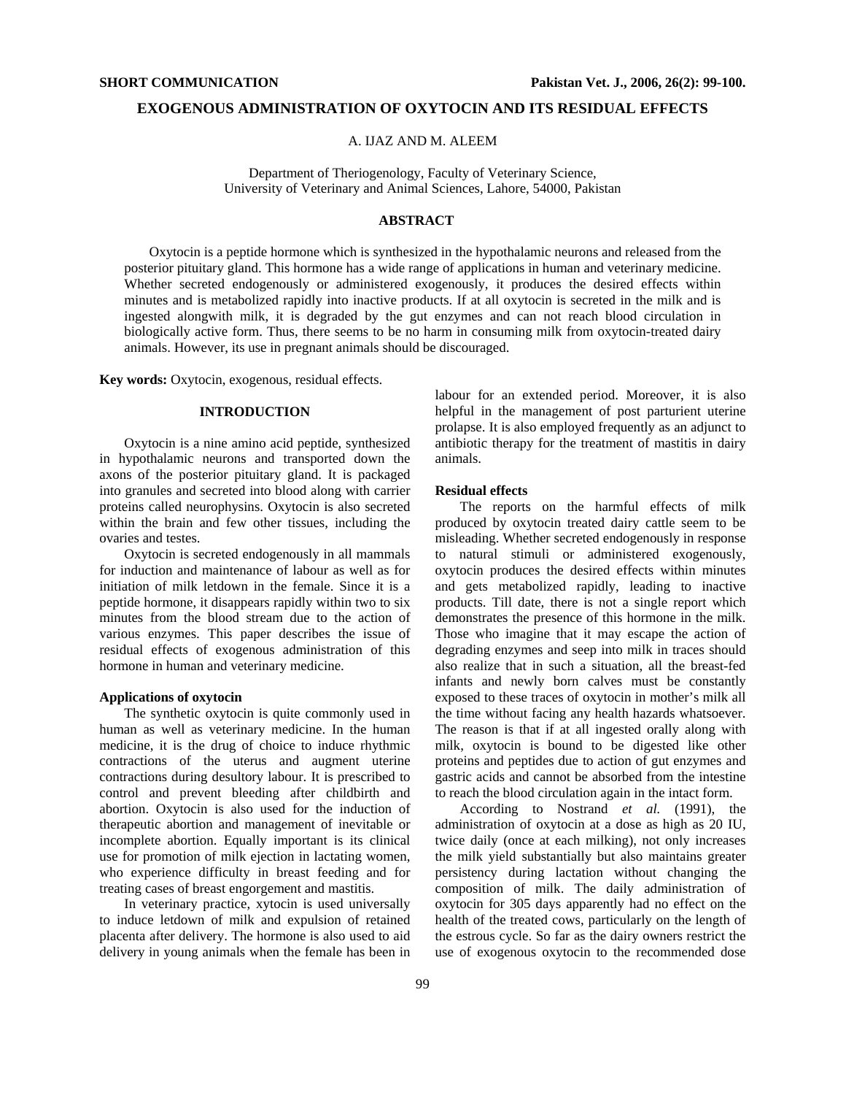### **EXOGENOUS ADMINISTRATION OF OXYTOCIN AND ITS RESIDUAL EFFECTS**

A. IJAZ AND M. ALEEM

Department of Theriogenology, Faculty of Veterinary Science, University of Veterinary and Animal Sciences, Lahore, 54000, Pakistan

## **ABSTRACT**

Oxytocin is a peptide hormone which is synthesized in the hypothalamic neurons and released from the posterior pituitary gland. This hormone has a wide range of applications in human and veterinary medicine. Whether secreted endogenously or administered exogenously, it produces the desired effects within minutes and is metabolized rapidly into inactive products. If at all oxytocin is secreted in the milk and is ingested alongwith milk, it is degraded by the gut enzymes and can not reach blood circulation in biologically active form. Thus, there seems to be no harm in consuming milk from oxytocin-treated dairy animals. However, its use in pregnant animals should be discouraged.

**Key words:** Oxytocin, exogenous, residual effects.

# **INTRODUCTION**

Oxytocin is a nine amino acid peptide, synthesized in hypothalamic neurons and transported down the axons of the posterior pituitary gland. It is packaged into granules and secreted into blood along with carrier proteins called neurophysins. Oxytocin is also secreted within the brain and few other tissues, including the ovaries and testes.

Oxytocin is secreted endogenously in all mammals for induction and maintenance of labour as well as for initiation of milk letdown in the female. Since it is a peptide hormone, it disappears rapidly within two to six minutes from the blood stream due to the action of various enzymes. This paper describes the issue of residual effects of exogenous administration of this hormone in human and veterinary medicine.

#### **Applications of oxytocin**

The synthetic oxytocin is quite commonly used in human as well as veterinary medicine. In the human medicine, it is the drug of choice to induce rhythmic contractions of the uterus and augment uterine contractions during desultory labour. It is prescribed to control and prevent bleeding after childbirth and abortion. Oxytocin is also used for the induction of therapeutic abortion and management of inevitable or incomplete abortion. Equally important is its clinical use for promotion of milk ejection in lactating women, who experience difficulty in breast feeding and for treating cases of breast engorgement and mastitis.

In veterinary practice, xytocin is used universally to induce letdown of milk and expulsion of retained placenta after delivery. The hormone is also used to aid delivery in young animals when the female has been in

labour for an extended period. Moreover, it is also helpful in the management of post parturient uterine prolapse. It is also employed frequently as an adjunct to antibiotic therapy for the treatment of mastitis in dairy animals.

#### **Residual effects**

The reports on the harmful effects of milk produced by oxytocin treated dairy cattle seem to be misleading. Whether secreted endogenously in response to natural stimuli or administered exogenously, oxytocin produces the desired effects within minutes and gets metabolized rapidly, leading to inactive products. Till date, there is not a single report which demonstrates the presence of this hormone in the milk. Those who imagine that it may escape the action of degrading enzymes and seep into milk in traces should also realize that in such a situation, all the breast-fed infants and newly born calves must be constantly exposed to these traces of oxytocin in mother's milk all the time without facing any health hazards whatsoever. The reason is that if at all ingested orally along with milk, oxytocin is bound to be digested like other proteins and peptides due to action of gut enzymes and gastric acids and cannot be absorbed from the intestine to reach the blood circulation again in the intact form.

According to Nostrand *et al.* (1991), the administration of oxytocin at a dose as high as 20 IU, twice daily (once at each milking), not only increases the milk yield substantially but also maintains greater persistency during lactation without changing the composition of milk. The daily administration of oxytocin for 305 days apparently had no effect on the health of the treated cows, particularly on the length of the estrous cycle. So far as the dairy owners restrict the use of exogenous oxytocin to the recommended dose